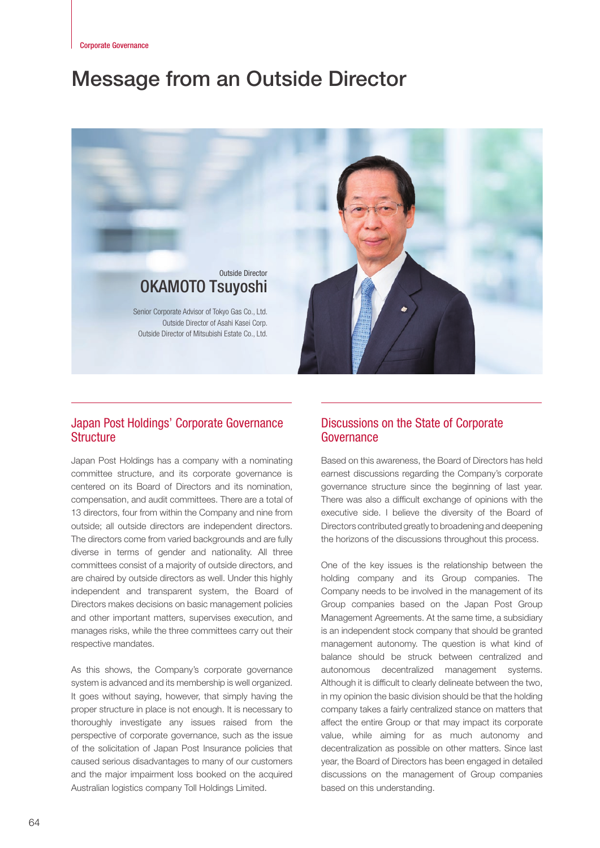# Message from an Outside Director



# Japan Post Holdings' Corporate Governance **Structure**

Japan Post Holdings has a company with a nominating committee structure, and its corporate governance is centered on its Board of Directors and its nomination, compensation, and audit committees. There are a total of 13 directors, four from within the Company and nine from outside; all outside directors are independent directors. The directors come from varied backgrounds and are fully diverse in terms of gender and nationality. All three committees consist of a majority of outside directors, and are chaired by outside directors as well. Under this highly independent and transparent system, the Board of Directors makes decisions on basic management policies and other important matters, supervises execution, and manages risks, while the three committees carry out their respective mandates.

As this shows, the Company's corporate governance system is advanced and its membership is well organized. It goes without saying, however, that simply having the proper structure in place is not enough. It is necessary to thoroughly investigate any issues raised from the perspective of corporate governance, such as the issue of the solicitation of Japan Post Insurance policies that caused serious disadvantages to many of our customers and the major impairment loss booked on the acquired Australian logistics company Toll Holdings Limited.

### Discussions on the State of Corporate Governance

Based on this awareness, the Board of Directors has held earnest discussions regarding the Company's corporate governance structure since the beginning of last year. There was also a difficult exchange of opinions with the executive side. I believe the diversity of the Board of Directors contributed greatly to broadening and deepening the horizons of the discussions throughout this process.

One of the key issues is the relationship between the holding company and its Group companies. The Company needs to be involved in the management of its Group companies based on the Japan Post Group Management Agreements. At the same time, a subsidiary is an independent stock company that should be granted management autonomy. The question is what kind of balance should be struck between centralized and autonomous decentralized management systems. Although it is difficult to clearly delineate between the two, in my opinion the basic division should be that the holding company takes a fairly centralized stance on matters that affect the entire Group or that may impact its corporate value, while aiming for as much autonomy and decentralization as possible on other matters. Since last year, the Board of Directors has been engaged in detailed discussions on the management of Group companies based on this understanding.